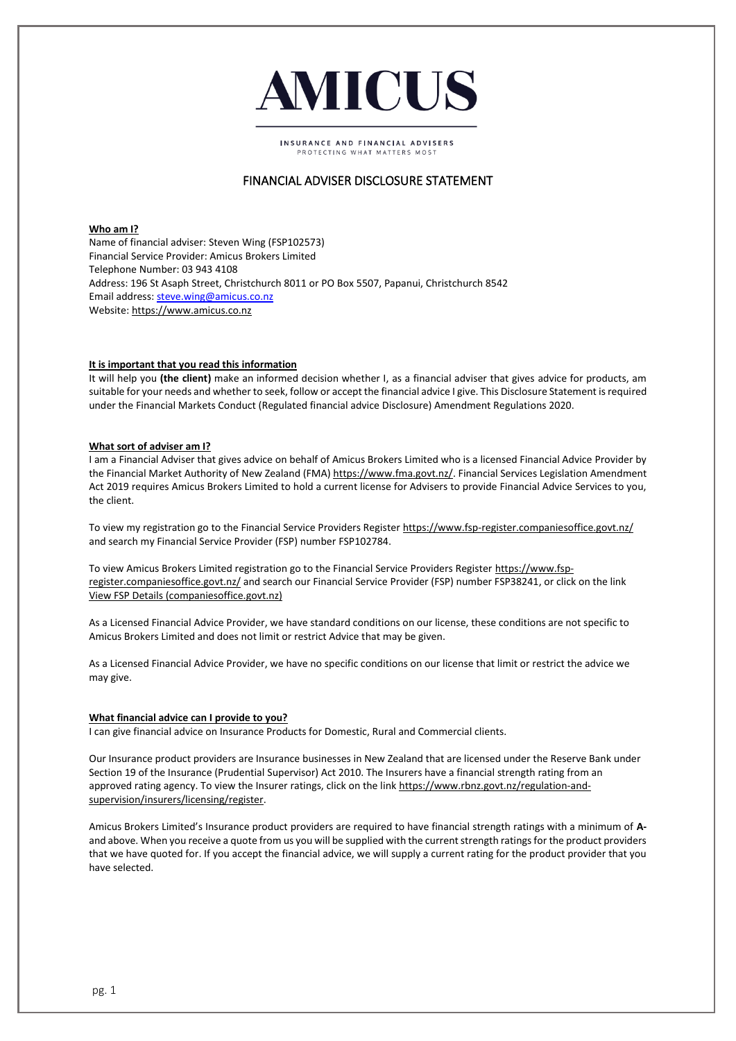

**INSURANCE AND FINANCIAL ADVISERS** ROTECTING WHAT MATTERS MOS

# FINANCIAL ADVISER DISCLOSURE STATEMENT

**Who am I?** Name of financial adviser: Steven Wing (FSP102573) Financial Service Provider: Amicus Brokers Limited Telephone Number: 03 943 4108 Address: 196 St Asaph Street, Christchurch 8011 or PO Box 5507, Papanui, Christchurch 8542 Email address: [steve.wing@amicus.co.nz](mailto:steve.wing@amicus.co.nz) Website[: https://www.amicus.co.nz](https://www.amicus.co.nz/)

# **It is important that you read this information**

It will help you **(the client)** make an informed decision whether I, as a financial adviser that gives advice for products, am suitable for your needs and whether to seek, follow or accept the financial advice I give. This Disclosure Statement is required under the Financial Markets Conduct (Regulated financial advice Disclosure) Amendment Regulations 2020.

# **What sort of adviser am I?**

I am a Financial Adviser that gives advice on behalf of Amicus Brokers Limited who is a licensed Financial Advice Provider by the Financial Market Authority of New Zealand (FMA[\) https://www.fma.govt.nz/.](https://www.fma.govt.nz/) Financial Services Legislation Amendment Act 2019 requires Amicus Brokers Limited to hold a current license for Advisers to provide Financial Advice Services to you, the client.

To view my registration go to the Financial Service Providers Register<https://www.fsp-register.companiesoffice.govt.nz/> and search my Financial Service Provider (FSP) number FSP102784.

To view Amicus Brokers Limited registration go to the Financial Service Providers Registe[r https://www.fsp](https://www.fsp-register.companiesoffice.govt.nz/)[register.companiesoffice.govt.nz/](https://www.fsp-register.companiesoffice.govt.nz/) and search our Financial Service Provider (FSP) number FSP38241, or click on the link [View FSP Details \(companiesoffice.govt.nz\)](https://fsp-app.companiesoffice.govt.nz/orp-fsp-register/viewInstance/view.html?id=757b371f1b6eec44bad4008937136b8f0c24df24c00daf5d&_timestamp=12585343889124255)

As a Licensed Financial Advice Provider, we have standard conditions on our license, these conditions are not specific to Amicus Brokers Limited and does not limit or restrict Advice that may be given.

As a Licensed Financial Advice Provider, we have no specific conditions on our license that limit or restrict the advice we may give.

# **What financial advice can I provide to you?**

I can give financial advice on Insurance Products for Domestic, Rural and Commercial clients.

Our Insurance product providers are Insurance businesses in New Zealand that are licensed under the Reserve Bank under Section 19 of the Insurance (Prudential Supervisor) Act 2010. The Insurers have a financial strength rating from an approved rating agency. To view the Insurer ratings, click on the link [https://www.rbnz.govt.nz/regulation-and](https://www.rbnz.govt.nz/regulation-and-supervision/insurers/licensing/register)[supervision/insurers/licensing/register.](https://www.rbnz.govt.nz/regulation-and-supervision/insurers/licensing/register)

Amicus Brokers Limited's Insurance product providers are required to have financial strength ratings with a minimum of **A**and above. When you receive a quote from us you will be supplied with the current strength ratings for the product providers that we have quoted for. If you accept the financial advice, we will supply a current rating for the product provider that you have selected.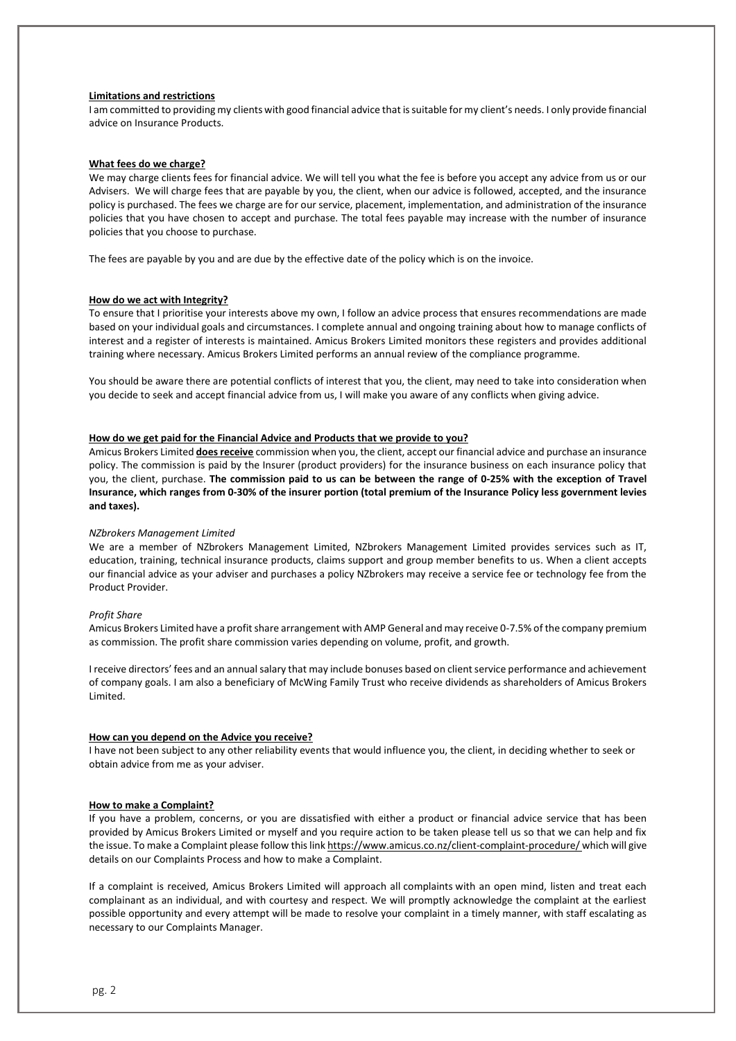# **Limitations and restrictions**

I am committed to providing my clients with good financial advice that is suitable for my client's needs. I only provide financial advice on Insurance Products.

### **What fees do we charge?**

We may charge clients fees for financial advice. We will tell you what the fee is before you accept any advice from us or our Advisers. We will charge fees that are payable by you, the client, when our advice is followed, accepted, and the insurance policy is purchased. The fees we charge are for our service, placement, implementation, and administration of the insurance policies that you have chosen to accept and purchase. The total fees payable may increase with the number of insurance policies that you choose to purchase.

The fees are payable by you and are due by the effective date of the policy which is on the invoice.

#### **How do we act with Integrity?**

To ensure that I prioritise your interests above my own, I follow an advice process that ensures recommendations are made based on your individual goals and circumstances. I complete annual and ongoing training about how to manage conflicts of interest and a register of interests is maintained. Amicus Brokers Limited monitors these registers and provides additional training where necessary. Amicus Brokers Limited performs an annual review of the compliance programme.

You should be aware there are potential conflicts of interest that you, the client, may need to take into consideration when you decide to seek and accept financial advice from us, I will make you aware of any conflicts when giving advice.

# **How do we get paid for the Financial Advice and Products that we provide to you?**

Amicus Brokers Limited **does receive** commission when you, the client, accept our financial advice and purchase an insurance policy. The commission is paid by the Insurer (product providers) for the insurance business on each insurance policy that you, the client, purchase. **The commission paid to us can be between the range of 0-25% with the exception of Travel Insurance, which ranges from 0-30% of the insurer portion (total premium of the Insurance Policy less government levies and taxes).**

#### *NZbrokers Management Limited*

We are a member of NZbrokers Management Limited, NZbrokers Management Limited provides services such as IT, education, training, technical insurance products, claims support and group member benefits to us. When a client accepts our financial advice as your adviser and purchases a policy NZbrokers may receive a service fee or technology fee from the Product Provider.

### *Profit Share*

Amicus Brokers Limited have a profit share arrangement with AMP General and may receive 0-7.5% of the company premium as commission. The profit share commission varies depending on volume, profit, and growth.

I receive directors' fees and an annual salary that may include bonuses based on client service performance and achievement of company goals. I am also a beneficiary of McWing Family Trust who receive dividends as shareholders of Amicus Brokers Limited.

### **How can you depend on the Advice you receive?**

I have not been subject to any other reliability events that would influence you, the client, in deciding whether to seek or obtain advice from me as your adviser.

# **How to make a Complaint?**

If you have a problem, concerns, or you are dissatisfied with either a product or financial advice service that has been provided by Amicus Brokers Limited or myself and you require action to be taken please tell us so that we can help and fix the issue. To make a Complaint please follow this lin[k https://www.amicus.co.nz/client-complaint-procedure/](https://www.amicus.co.nz/client-complaint-procedure/) which will give details on our Complaints Process and how to make a Complaint.

If a complaint is received, Amicus Brokers Limited will approach all complaints with an open mind, listen and treat each complainant as an individual, and with courtesy and respect. We will promptly acknowledge the complaint at the earliest possible opportunity and every attempt will be made to resolve your complaint in a timely manner, with staff escalating as necessary to our Complaints Manager.